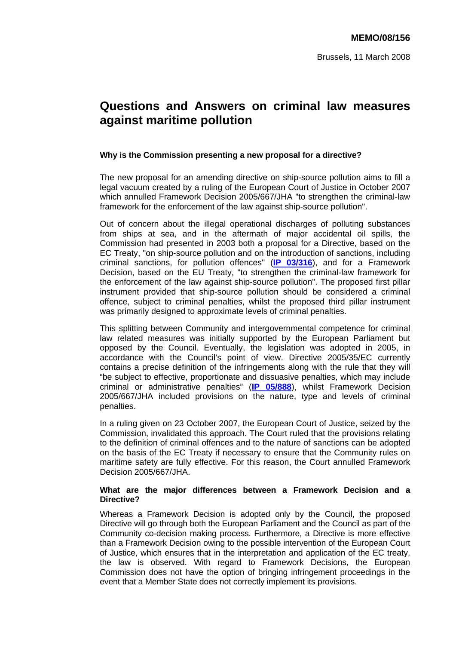# **Questions and Answers on criminal law measures against maritime pollution**

## **Why is the Commission presenting a new proposal for a directive?**

The new proposal for an amending directive on ship-source pollution aims to fill a legal vacuum created by a ruling of the European Court of Justice in October 2007 which annulled Framework Decision 2005/667/JHA "to strengthen the criminal-law framework for the enforcement of the law against ship-source pollution".

Out of concern about the illegal operational discharges of polluting substances from ships at sea, and in the aftermath of major accidental oil spills, the Commission had presented in 2003 both a proposal for a Directive, based on the EC Treaty, "on ship-source pollution and on the introduction of sanctions, including criminal sanctions, for pollution offences" (**[IP 03/316](http://europa.eu/rapid/pressReleasesAction.do?reference=IP/03/316&format=HTML&aged=1&language=EN&guiLanguage=en)**), and for a Framework Decision, based on the EU Treaty, "to strengthen the criminal-law framework for the enforcement of the law against ship-source pollution". The proposed first pillar instrument provided that ship-source pollution should be considered a criminal offence, subject to criminal penalties, whilst the proposed third pillar instrument was primarily designed to approximate levels of criminal penalties.

This splitting between Community and intergovernmental competence for criminal law related measures was initially supported by the European Parliament but opposed by the Council. Eventually, the legislation was adopted in 2005, in accordance with the Council's point of view. Directive 2005/35/EC currently contains a precise definition of the infringements along with the rule that they will "be subject to effective, proportionate and dissuasive penalties, which may include criminal or administrative penalties" (**[IP 05/888](http://europa.eu/rapid/pressReleasesAction.do?reference=IP/05/888&format=HTML&aged=1&language=EN&guiLanguage=en)**), whilst Framework Decision 2005/667/JHA included provisions on the nature, type and levels of criminal penalties.

In a ruling given on 23 October 2007, the European Court of Justice, seized by the Commission, invalidated this approach. The Court ruled that the provisions relating to the definition of criminal offences and to the nature of sanctions can be adopted on the basis of the EC Treaty if necessary to ensure that the Community rules on maritime safety are fully effective. For this reason, the Court annulled Framework Decision 2005/667/JHA.

### **What are the major differences between a Framework Decision and a Directive?**

Whereas a Framework Decision is adopted only by the Council, the proposed Directive will go through both the European Parliament and the Council as part of the Community co-decision making process. Furthermore, a Directive is more effective than a Framework Decision owing to the possible intervention of the European Court of Justice, which ensures that in the interpretation and application of the EC treaty, the law is observed. With regard to Framework Decisions, the European Commission does not have the option of bringing infringement proceedings in the event that a Member State does not correctly implement its provisions.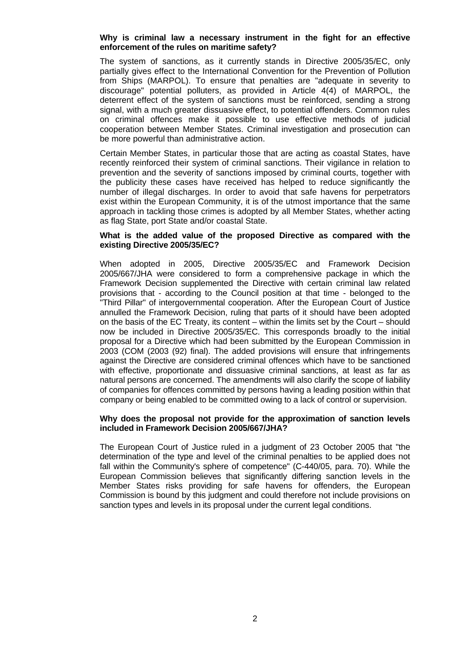### **Why is criminal law a necessary instrument in the fight for an effective enforcement of the rules on maritime safety?**

The system of sanctions, as it currently stands in Directive 2005/35/EC, only partially gives effect to the International Convention for the Prevention of Pollution from Ships (MARPOL). To ensure that penalties are "adequate in severity to discourage" potential polluters, as provided in Article 4(4) of MARPOL, the deterrent effect of the system of sanctions must be reinforced, sending a strong signal, with a much greater dissuasive effect, to potential offenders. Common rules on criminal offences make it possible to use effective methods of judicial cooperation between Member States. Criminal investigation and prosecution can be more powerful than administrative action.

Certain Member States, in particular those that are acting as coastal States, have recently reinforced their system of criminal sanctions. Their vigilance in relation to prevention and the severity of sanctions imposed by criminal courts, together with the publicity these cases have received has helped to reduce significantly the number of illegal discharges. In order to avoid that safe havens for perpetrators exist within the European Community, it is of the utmost importance that the same approach in tackling those crimes is adopted by all Member States, whether acting as flag State, port State and/or coastal State.

#### **What is the added value of the proposed Directive as compared with the existing Directive 2005/35/EC?**

When adopted in 2005, Directive 2005/35/EC and Framework Decision 2005/667/JHA were considered to form a comprehensive package in which the Framework Decision supplemented the Directive with certain criminal law related provisions that - according to the Council position at that time - belonged to the "Third Pillar" of intergovernmental cooperation. After the European Court of Justice annulled the Framework Decision, ruling that parts of it should have been adopted on the basis of the EC Treaty, its content – within the limits set by the Court – should now be included in Directive 2005/35/EC. This corresponds broadly to the initial proposal for a Directive which had been submitted by the European Commission in 2003 (COM (2003 (92) final). The added provisions will ensure that infringements against the Directive are considered criminal offences which have to be sanctioned with effective, proportionate and dissuasive criminal sanctions, at least as far as natural persons are concerned. The amendments will also clarify the scope of liability of companies for offences committed by persons having a leading position within that company or being enabled to be committed owing to a lack of control or supervision.

#### **Why does the proposal not provide for the approximation of sanction levels included in Framework Decision 2005/667/JHA?**

The European Court of Justice ruled in a judgment of 23 October 2005 that "the determination of the type and level of the criminal penalties to be applied does not fall within the Community's sphere of competence" (C-440/05, para. 70). While the European Commission believes that significantly differing sanction levels in the Member States risks providing for safe havens for offenders, the European Commission is bound by this judgment and could therefore not include provisions on sanction types and levels in its proposal under the current legal conditions.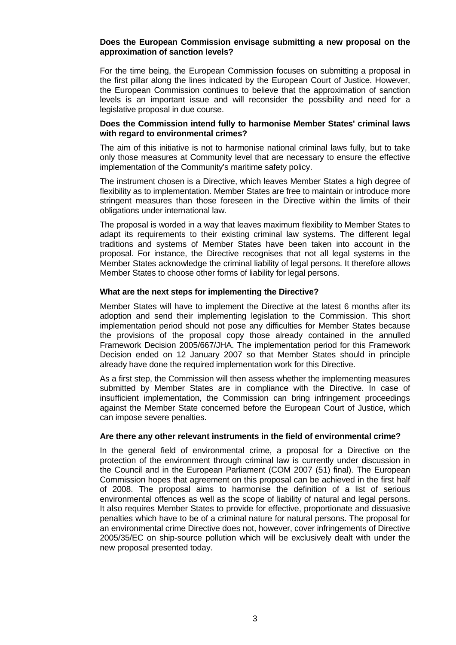#### **Does the European Commission envisage submitting a new proposal on the approximation of sanction levels?**

For the time being, the European Commission focuses on submitting a proposal in the first pillar along the lines indicated by the European Court of Justice. However, the European Commission continues to believe that the approximation of sanction levels is an important issue and will reconsider the possibility and need for a legislative proposal in due course.

#### **Does the Commission intend fully to harmonise Member States' criminal laws with regard to environmental crimes?**

The aim of this initiative is not to harmonise national criminal laws fully, but to take only those measures at Community level that are necessary to ensure the effective implementation of the Community's maritime safety policy.

The instrument chosen is a Directive, which leaves Member States a high degree of flexibility as to implementation. Member States are free to maintain or introduce more stringent measures than those foreseen in the Directive within the limits of their obligations under international law.

The proposal is worded in a way that leaves maximum flexibility to Member States to adapt its requirements to their existing criminal law systems. The different legal traditions and systems of Member States have been taken into account in the proposal. For instance, the Directive recognises that not all legal systems in the Member States acknowledge the criminal liability of legal persons. It therefore allows Member States to choose other forms of liability for legal persons.

#### **What are the next steps for implementing the Directive?**

Member States will have to implement the Directive at the latest 6 months after its adoption and send their implementing legislation to the Commission. This short implementation period should not pose any difficulties for Member States because the provisions of the proposal copy those already contained in the annulled Framework Decision 2005/667/JHA. The implementation period for this Framework Decision ended on 12 January 2007 so that Member States should in principle already have done the required implementation work for this Directive.

As a first step, the Commission will then assess whether the implementing measures submitted by Member States are in compliance with the Directive. In case of insufficient implementation, the Commission can bring infringement proceedings against the Member State concerned before the European Court of Justice, which can impose severe penalties.

#### **Are there any other relevant instruments in the field of environmental crime?**

In the general field of environmental crime, a proposal for a Directive on the protection of the environment through criminal law is currently under discussion in the Council and in the European Parliament (COM 2007 (51) final). The European Commission hopes that agreement on this proposal can be achieved in the first half of 2008. The proposal aims to harmonise the definition of a list of serious environmental offences as well as the scope of liability of natural and legal persons. It also requires Member States to provide for effective, proportionate and dissuasive penalties which have to be of a criminal nature for natural persons. The proposal for an environmental crime Directive does not, however, cover infringements of Directive 2005/35/EC on ship-source pollution which will be exclusively dealt with under the new proposal presented today.